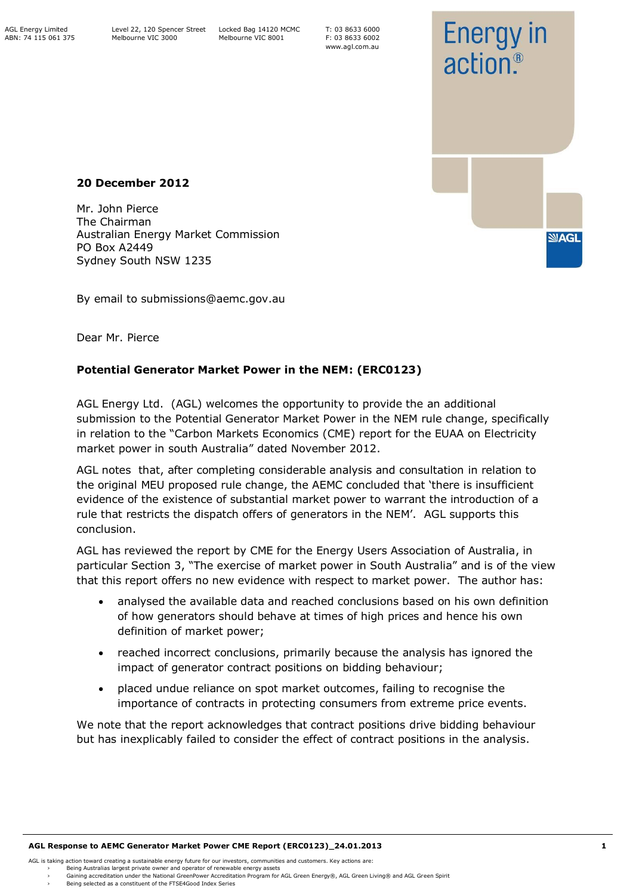T: 03 8633 6000 F: 03 8633 6002 www.agl.com.au



### **20 December 2012**

Mr. John Pierce The Chairman Australian Energy Market Commission PO Box A2449 Sydney South NSW 1235

By email to submissions@aemc.gov.au

Dear Mr. Pierce

# **Potential Generator Market Power in the NEM: (ERC0123)**

AGL Energy Ltd. (AGL) welcomes the opportunity to provide the an additional submission to the Potential Generator Market Power in the NEM rule change, specifically in relation to the "Carbon Markets Economics (CME) report for the EUAA on Electricity market power in south Australia" dated November 2012.

AGL notes that, after completing considerable analysis and consultation in relation to the original MEU proposed rule change, the AEMC concluded that 'there is insufficient evidence of the existence of substantial market power to warrant the introduction of a rule that restricts the dispatch offers of generators in the NEM'. AGL supports this conclusion.

AGL has reviewed the report by CME for the Energy Users Association of Australia, in particular Section 3, "The exercise of market power in South Australia" and is of the view that this report offers no new evidence with respect to market power. The author has:

- analysed the available data and reached conclusions based on his own definition of how generators should behave at times of high prices and hence his own definition of market power;
- reached incorrect conclusions, primarily because the analysis has ignored the impact of generator contract positions on bidding behaviour;
- placed undue reliance on spot market outcomes, failing to recognise the importance of contracts in protecting consumers from extreme price events.

We note that the report acknowledges that contract positions drive bidding behaviour but has inexplicably failed to consider the effect of contract positions in the analysis.

<sup>›</sup> Gaining accreditation under the National GreenPower Accreditation Program for AGL Green Energy®, AGL Green Living® and AGL Green Spirit

Being selected as a constituent of the FTSE4Good Index Series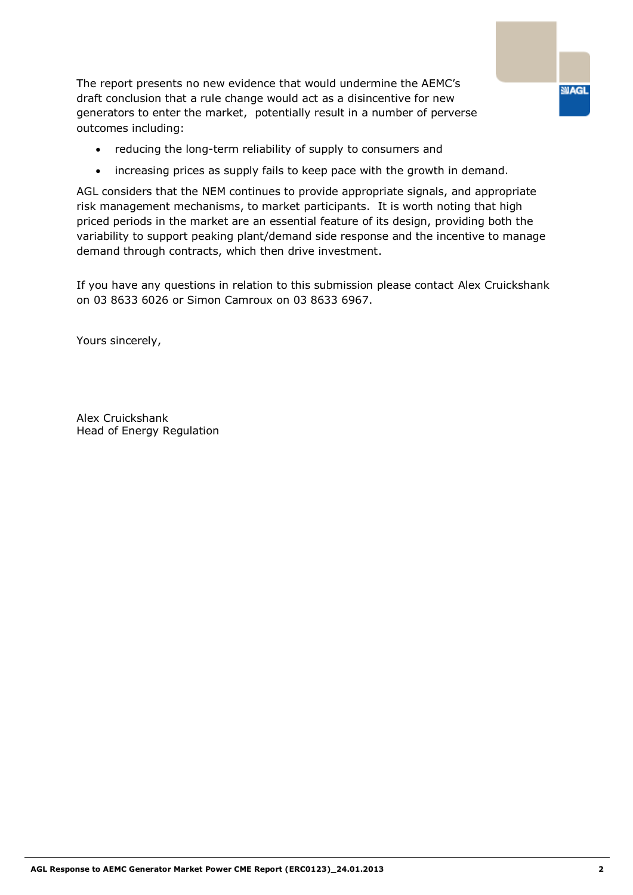The report presents no new evidence that would undermine the AEMC's draft conclusion that a rule change would act as a disincentive for new generators to enter the market, potentially result in a number of perverse outcomes including:

- reducing the long-term reliability of supply to consumers and
- increasing prices as supply fails to keep pace with the growth in demand.

AGL considers that the NEM continues to provide appropriate signals, and appropriate risk management mechanisms, to market participants. It is worth noting that high priced periods in the market are an essential feature of its design, providing both the variability to support peaking plant/demand side response and the incentive to manage demand through contracts, which then drive investment.

If you have any questions in relation to this submission please contact Alex Cruickshank on 03 8633 6026 or Simon Camroux on [03 8633](http://thegrid.agl.com.au/SearchCenter/Pages/PeopleResults.aspx?k=WorkPhone:%2203%2086336967%22) 6967.

Yours sincerely,

Alex Cruickshank Head of Energy Regulation **SIAGL**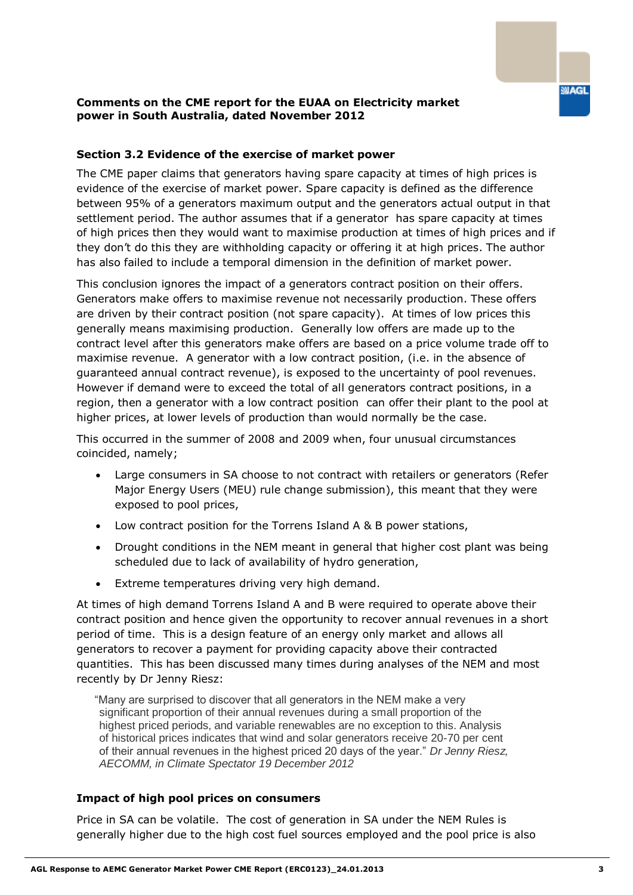### **Comments on the CME report for the EUAA on Electricity market power in South Australia, dated November 2012**

### **Section 3.2 Evidence of the exercise of market power**

The CME paper claims that generators having spare capacity at times of high prices is evidence of the exercise of market power. Spare capacity is defined as the difference between 95% of a generators maximum output and the generators actual output in that settlement period. The author assumes that if a generator has spare capacity at times of high prices then they would want to maximise production at times of high prices and if they don't do this they are withholding capacity or offering it at high prices. The author has also failed to include a temporal dimension in the definition of market power.

This conclusion ignores the impact of a generators contract position on their offers. Generators make offers to maximise revenue not necessarily production. These offers are driven by their contract position (not spare capacity). At times of low prices this generally means maximising production. Generally low offers are made up to the contract level after this generators make offers are based on a price volume trade off to maximise revenue. A generator with a low contract position, (i.e. in the absence of guaranteed annual contract revenue), is exposed to the uncertainty of pool revenues. However if demand were to exceed the total of all generators contract positions, in a region, then a generator with a low contract position can offer their plant to the pool at higher prices, at lower levels of production than would normally be the case.

This occurred in the summer of 2008 and 2009 when, four unusual circumstances coincided, namely;

- Large consumers in SA choose to not contract with retailers or generators (Refer Major Energy Users (MEU) rule change submission), this meant that they were exposed to pool prices,
- Low contract position for the Torrens Island A & B power stations,
- Drought conditions in the NEM meant in general that higher cost plant was being scheduled due to lack of availability of hydro generation,
- Extreme temperatures driving very high demand.

At times of high demand Torrens Island A and B were required to operate above their contract position and hence given the opportunity to recover annual revenues in a short period of time. This is a design feature of an energy only market and allows all generators to recover a payment for providing capacity above their contracted quantities. This has been discussed many times during analyses of the NEM and most recently by Dr Jenny Riesz:

"Many are surprised to discover that all generators in the NEM make a very significant proportion of their annual revenues during a small proportion of the highest priced periods, and variable renewables are no exception to this. Analysis of historical prices indicates that wind and solar generators receive 20-70 per cent of their annual revenues in the highest priced 20 days of the year." *Dr Jenny Riesz, AECOMM, in Climate Spectator 19 December 2012*

#### **Impact of high pool prices on consumers**

Price in SA can be volatile. The cost of generation in SA under the NEM Rules is generally higher due to the high cost fuel sources employed and the pool price is also